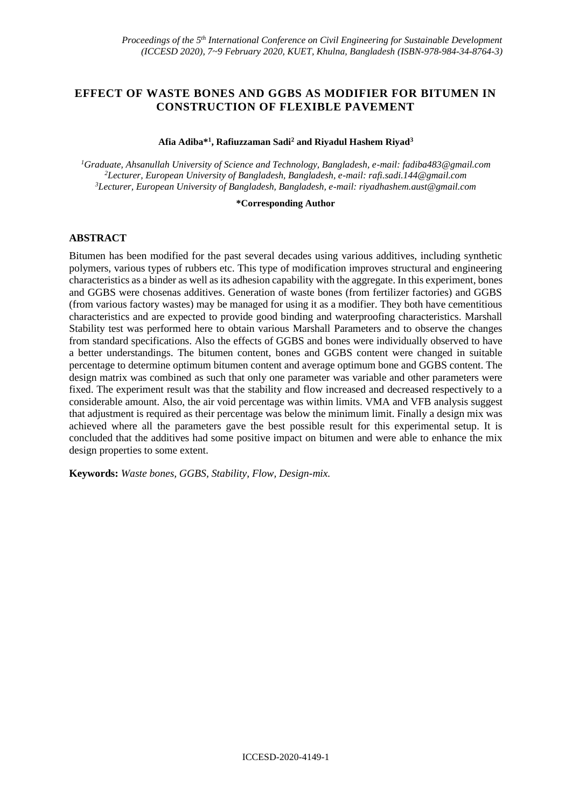# **EFFECT OF WASTE BONES AND GGBS AS MODIFIER FOR BITUMEN IN CONSTRUCTION OF FLEXIBLE PAVEMENT**

#### **Afia Adiba\*<sup>1</sup> , Rafiuzzaman Sadi<sup>2</sup> and Riyadul Hashem Riyad<sup>3</sup>**

*<sup>1</sup>Graduate, Ahsanullah University of Science and Technology, Bangladesh, e-mail: fadiba483@gmail.com <sup>2</sup>Lecturer, European University of Bangladesh, Bangladesh, e-mail: rafi.sadi.144@gmail.com <sup>3</sup>Lecturer, European University of Bangladesh, Bangladesh, e-mail: [riyadhashem.aust@gmail.com](mailto:riyadhashem.aust@gmail.com)*

#### **\*Corresponding Author**

## **ABSTRACT**

Bitumen has been modified for the past several decades using various additives, including synthetic polymers, various types of rubbers etc. This type of modification improves structural and engineering characteristics as a binder as well as its adhesion capability with the aggregate. In this experiment, bones and GGBS were chosenas additives. Generation of waste bones (from fertilizer factories) and GGBS (from various factory wastes) may be managed for using it as a modifier. They both have cementitious characteristics and are expected to provide good binding and waterproofing characteristics. Marshall Stability test was performed here to obtain various Marshall Parameters and to observe the changes from standard specifications. Also the effects of GGBS and bones were individually observed to have a better understandings. The bitumen content, bones and GGBS content were changed in suitable percentage to determine optimum bitumen content and average optimum bone and GGBS content. The design matrix was combined as such that only one parameter was variable and other parameters were fixed. The experiment result was that the stability and flow increased and decreased respectively to a considerable amount. Also, the air void percentage was within limits. VMA and VFB analysis suggest that adjustment is required as their percentage was below the minimum limit. Finally a design mix was achieved where all the parameters gave the best possible result for this experimental setup. It is concluded that the additives had some positive impact on bitumen and were able to enhance the mix design properties to some extent.

**Keywords:** *Waste bones, GGBS, Stability, Flow, Design-mix.*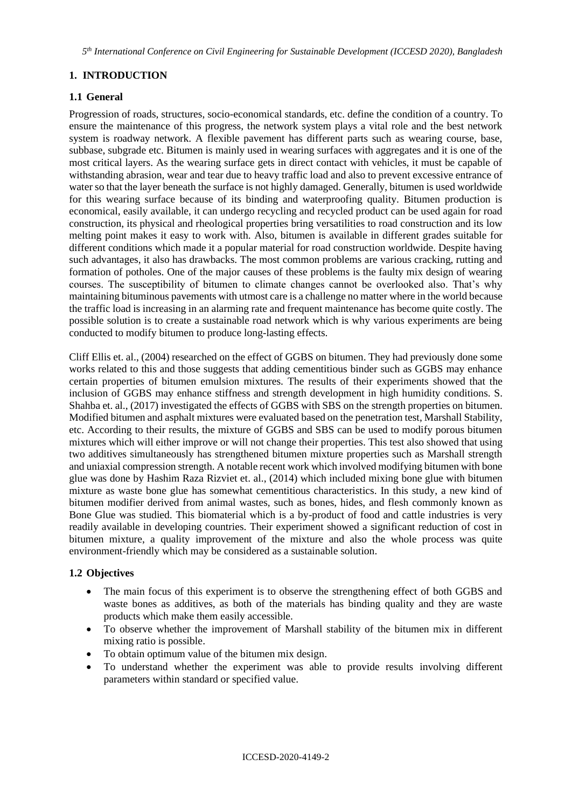# **1. INTRODUCTION**

## **1.1 General**

Progression of roads, structures, socio-economical standards, etc. define the condition of a country. To ensure the maintenance of this progress, the network system plays a vital role and the best network system is roadway network. A flexible pavement has different parts such as wearing course, base, subbase, subgrade etc. Bitumen is mainly used in wearing surfaces with aggregates and it is one of the most critical layers. As the wearing surface gets in direct contact with vehicles, it must be capable of withstanding abrasion, wear and tear due to heavy traffic load and also to prevent excessive entrance of water so that the layer beneath the surface is not highly damaged. Generally, bitumen is used worldwide for this wearing surface because of its binding and waterproofing quality. Bitumen production is economical, easily available, it can undergo recycling and recycled product can be used again for road construction, its physical and rheological properties bring versatilities to road construction and its low melting point makes it easy to work with. Also, bitumen is available in different grades suitable for different conditions which made it a popular material for road construction worldwide. Despite having such advantages, it also has drawbacks. The most common problems are various cracking, rutting and formation of potholes. One of the major causes of these problems is the faulty mix design of wearing courses. The susceptibility of bitumen to climate changes cannot be overlooked also. That's why maintaining bituminous pavements with utmost care is a challenge no matter where in the world because the traffic load is increasing in an alarming rate and frequent maintenance has become quite costly. The possible solution is to create a sustainable road network which is why various experiments are being conducted to modify bitumen to produce long-lasting effects.

Cliff Ellis et. al., (2004) researched on the effect of GGBS on bitumen. They had previously done some works related to this and those suggests that adding cementitious binder such as GGBS may enhance certain properties of bitumen emulsion mixtures. The results of their experiments showed that the inclusion of GGBS may enhance stiffness and strength development in high humidity conditions. S. Shahba et. al., (2017) investigated the effects of GGBS with SBS on the strength properties on bitumen. Modified bitumen and asphalt mixtures were evaluated based on the penetration test, Marshall Stability, etc. According to their results, the mixture of GGBS and SBS can be used to modify porous bitumen mixtures which will either improve or will not change their properties. This test also showed that using two additives simultaneously has strengthened bitumen mixture properties such as Marshall strength and uniaxial compression strength. A notable recent work which involved modifying bitumen with bone glue was done by Hashim Raza Rizviet et. al., (2014) which included mixing bone glue with bitumen mixture as waste bone glue has somewhat cementitious characteristics. In this study, a new kind of bitumen modifier derived from animal wastes, such as bones, hides, and flesh commonly known as Bone Glue was studied. This biomaterial which is a by-product of food and cattle industries is very readily available in developing countries. Their experiment showed a significant reduction of cost in bitumen mixture, a quality improvement of the mixture and also the whole process was quite environment-friendly which may be considered as a sustainable solution.

# **1.2 Objectives**

- The main focus of this experiment is to observe the strengthening effect of both GGBS and waste bones as additives, as both of the materials has binding quality and they are waste products which make them easily accessible.
- To observe whether the improvement of Marshall stability of the bitumen mix in different mixing ratio is possible.
- To obtain optimum value of the bitumen mix design.
- To understand whether the experiment was able to provide results involving different parameters within standard or specified value.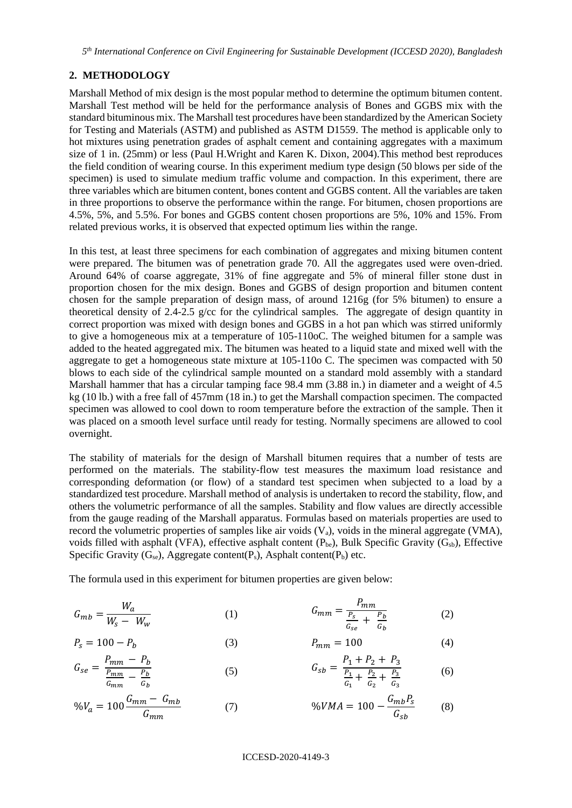*5 th International Conference on Civil Engineering for Sustainable Development (ICCESD 2020), Bangladesh*

## **2. METHODOLOGY**

Marshall Method of mix design is the most popular method to determine the optimum bitumen content. Marshall Test method will be held for the performance analysis of Bones and GGBS mix with the standard bituminous mix. The Marshall test procedures have been standardized by the American Society for Testing and Materials (ASTM) and published as ASTM D1559. The method is applicable only to hot mixtures using penetration grades of asphalt cement and containing aggregates with a maximum size of 1 in. (25mm) or less (Paul H.Wright and Karen K. Dixon, 2004).This method best reproduces the field condition of wearing course. In this experiment medium type design (50 blows per side of the specimen) is used to simulate medium traffic volume and compaction. In this experiment, there are three variables which are bitumen content, bones content and GGBS content. All the variables are taken in three proportions to observe the performance within the range. For bitumen, chosen proportions are 4.5%, 5%, and 5.5%. For bones and GGBS content chosen proportions are 5%, 10% and 15%. From related previous works, it is observed that expected optimum lies within the range.

In this test, at least three specimens for each combination of aggregates and mixing bitumen content were prepared. The bitumen was of penetration grade 70. All the aggregates used were oven-dried. Around 64% of coarse aggregate, 31% of fine aggregate and 5% of mineral filler stone dust in proportion chosen for the mix design. Bones and GGBS of design proportion and bitumen content chosen for the sample preparation of design mass, of around 1216g (for 5% bitumen) to ensure a theoretical density of 2.4-2.5 g/cc for the cylindrical samples. The aggregate of design quantity in correct proportion was mixed with design bones and GGBS in a hot pan which was stirred uniformly to give a homogeneous mix at a temperature of 105-110oC. The weighed bitumen for a sample was added to the heated aggregated mix. The bitumen was heated to a liquid state and mixed well with the aggregate to get a homogeneous state mixture at 105-110o C. The specimen was compacted with 50 blows to each side of the cylindrical sample mounted on a standard mold assembly with a standard Marshall hammer that has a circular tamping face 98.4 mm (3.88 in.) in diameter and a weight of 4.5 kg (10 lb.) with a free fall of 457mm (18 in.) to get the Marshall compaction specimen. The compacted specimen was allowed to cool down to room temperature before the extraction of the sample. Then it was placed on a smooth level surface until ready for testing. Normally specimens are allowed to cool overnight.

The stability of materials for the design of Marshall bitumen requires that a number of tests are performed on the materials. The stability-flow test measures the maximum load resistance and corresponding deformation (or flow) of a standard test specimen when subjected to a load by a standardized test procedure. Marshall method of analysis is undertaken to record the stability, flow, and others the volumetric performance of all the samples. Stability and flow values are directly accessible from the gauge reading of the Marshall apparatus. Formulas based on materials properties are used to record the volumetric properties of samples like air voids  $(V_a)$ , voids in the mineral aggregate (VMA), voids filled with asphalt (VFA), effective asphalt content  $(P_{be})$ , Bulk Specific Gravity  $(G_{sb})$ , Effective Specific Gravity  $(G_{se})$ , Aggregate content(P<sub>s</sub>), Asphalt content(P<sub>b</sub>) etc.

The formula used in this experiment for bitumen properties are given below:

$$
G_{mb} = \frac{W_a}{W_s - W_w} \tag{1}
$$

$$
P_s = 100 - P_b \tag{3}
$$

$$
G_{se} = \frac{P_{mm} - P_b}{\frac{P_{mm}}{G_{mm}} - \frac{P_b}{G_b}}
$$
 (5) 
$$
G_{sb} = \frac{P_1 + P_2 + P_3}{\frac{P_1}{G_1} + \frac{P_2}{G_2} + \frac{P_3}{G_3}}
$$
 (6)

$$
\%V_a = 100 \frac{G_{mm} - G_{mb}}{G_{mm}} \tag{7}
$$
 (7) 
$$
\%VMA = 100 - \frac{G_{mb}P_s}{G_{sb}} \tag{8}
$$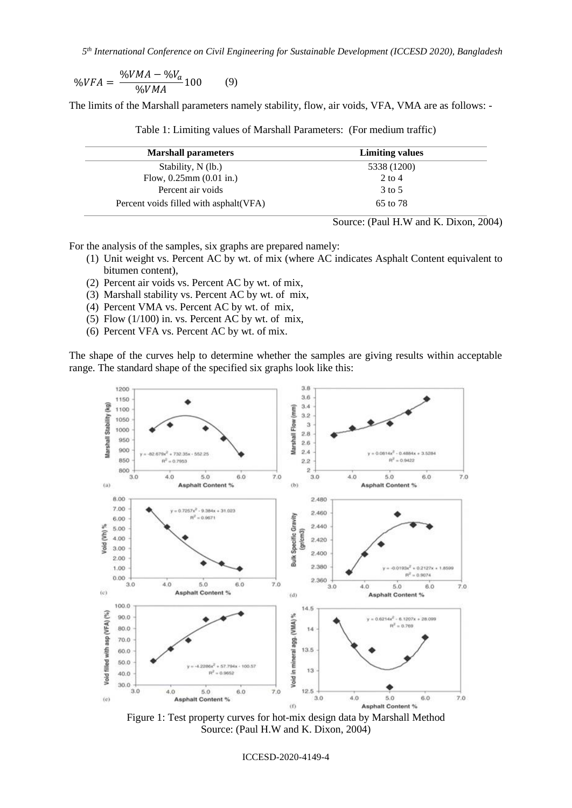*5 th International Conference on Civil Engineering for Sustainable Development (ICCESD 2020), Bangladesh*

$$
\%VFA = \frac{\%VMA - \%V_a}{\%VMA}100 \tag{9}
$$

The limits of the Marshall parameters namely stability, flow, air voids, VFA, VMA are as follows: -

| <b>Marshall parameters</b>              | <b>Limiting values</b> |
|-----------------------------------------|------------------------|
| Stability, N (lb.)                      | 5338 (1200)            |
| Flow, $0.25$ mm $(0.01$ in.)            | $2$ to $4$             |
| Percent air voids                       | 3 to 5                 |
| Percent voids filled with asphalt (VFA) | 65 to 78               |

Table 1: Limiting values of Marshall Parameters: (For medium traffic)

For the analysis of the samples, six graphs are prepared namely:

- (1) Unit weight vs. Percent AC by wt. of mix (where AC indicates Asphalt Content equivalent to bitumen content),
- (2) Percent air voids vs. Percent AC by wt. of mix,
- (3) Marshall stability vs. Percent AC by wt. of mix,
- (4) Percent VMA vs. Percent AC by wt. of mix,
- (5) Flow  $(1/100)$  in. vs. Percent AC by wt. of mix,
- (6) Percent VFA vs. Percent AC by wt. of mix.

The shape of the curves help to determine whether the samples are giving results within acceptable range. The standard shape of the specified six graphs look like this:



Figure 1: Test property curves for hot-mix design data by Marshall Method Source: (Paul H.W and K. Dixon, 2004)

ICCESD-2020-4149-4

Source: (Paul H.W and K. Dixon, 2004)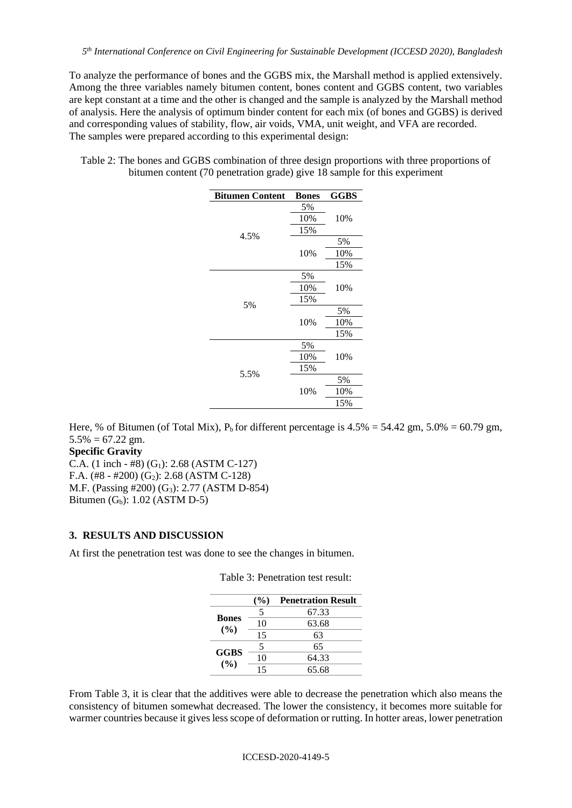To analyze the performance of bones and the GGBS mix, the Marshall method is applied extensively. Among the three variables namely bitumen content, bones content and GGBS content, two variables are kept constant at a time and the other is changed and the sample is analyzed by the Marshall method of analysis. Here the analysis of optimum binder content for each mix (of bones and GGBS) is derived and corresponding values of stability, flow, air voids, VMA, unit weight, and VFA are recorded. The samples were prepared according to this experimental design:

Table 2: The bones and GGBS combination of three design proportions with three proportions of bitumen content (70 penetration grade) give 18 sample for this experiment

| <b>Bitumen Content</b> | <b>Bones</b> | GGBS |
|------------------------|--------------|------|
|                        | 5%           |      |
|                        | 10%          | 10%  |
|                        | 15%          |      |
| 4.5%                   |              | 5%   |
|                        | 10%          | 10%  |
|                        |              | 15%  |
|                        | 5%           |      |
|                        | 10%          | 10%  |
|                        | 15%          |      |
| 5%                     | 10%          | 5%   |
|                        |              | 10%  |
|                        |              | 15%  |
| 5.5%                   | 5%           |      |
|                        | 10%          | 10%  |
|                        | 15%          |      |
|                        |              | 5%   |
|                        | 10%          | 10%  |
|                        |              | 15%  |

Here, % of Bitumen (of Total Mix),  $P_b$  for different percentage is 4.5% = 54.42 gm, 5.0% = 60.79 gm,  $5.5\% = 67.22$  gm.

**Specific Gravity** 

C.A.  $(1 \text{ inch} - #8) (G_1): 2.68 (ASTM C-127)$ F.A.  $(\text{\#8 - }\text{\#200})$   $(G_2)$ : 2.68 (ASTM C-128) M.F. (Passing #200) (G3): 2.77 (ASTM D-854) Bitumen  $(G_b)$ : 1.02 (ASTM D-5)

### **3. RESULTS AND DISCUSSION**

At first the penetration test was done to see the changes in bitumen.

|                        | (%) | <b>Penetration Result</b> |
|------------------------|-----|---------------------------|
|                        | 5   | 67.33                     |
| <b>Bones</b><br>$($ %) | 10  | 63.68                     |
|                        | 15  | 63                        |
|                        | 5   | 65                        |
| <b>GGBS</b><br>$($ %)  | 10  | 64.33                     |
|                        | 15  | 65.68                     |

Table 3: Penetration test result:

From Table 3, it is clear that the additives were able to decrease the penetration which also means the consistency of bitumen somewhat decreased. The lower the consistency, it becomes more suitable for warmer countries because it gives less scope of deformation or rutting. In hotter areas, lower penetration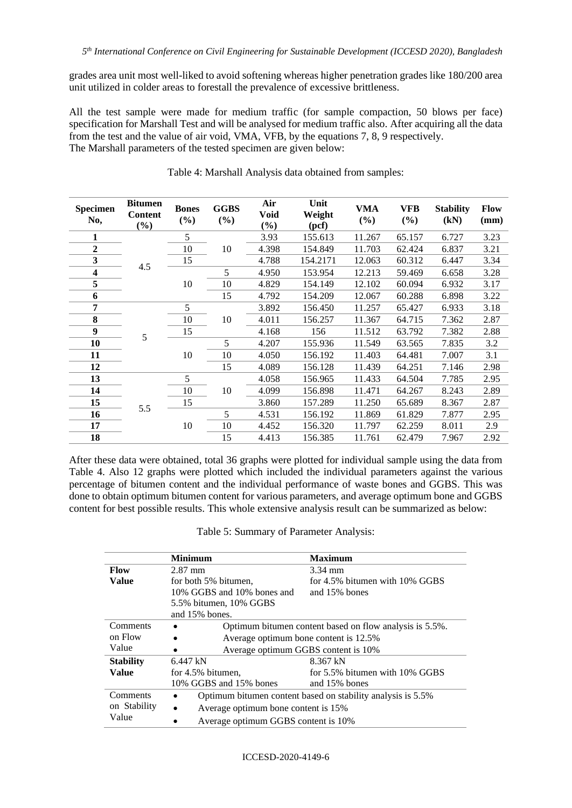grades area unit most well-liked to avoid softening whereas higher penetration grades like 180/200 area unit utilized in colder areas to forestall the prevalence of excessive brittleness.

All the test sample were made for medium traffic (for sample compaction, 50 blows per face) specification for Marshall Test and will be analysed for medium traffic also. After acquiring all the data from the test and the value of air void, VMA, VFB, by the equations 7, 8, 9 respectively. The Marshall parameters of the tested specimen are given below:

| <b>Specimen</b><br>No, | <b>Bitumen</b><br><b>Content</b><br>(%) | <b>Bones</b><br>$(\%)$ | <b>GGBS</b><br>$(\%)$ | Air<br>Void<br>$(\%)$ | Unit<br>Weight<br>(pcf) | <b>VMA</b><br>(%) | <b>VFB</b><br>(%) | <b>Stability</b><br>(kN) | <b>Flow</b><br>(mm) |
|------------------------|-----------------------------------------|------------------------|-----------------------|-----------------------|-------------------------|-------------------|-------------------|--------------------------|---------------------|
|                        |                                         | 5                      |                       | 3.93                  | 155.613                 | 11.267            | 65.157            | 6.727                    | 3.23                |
| $\boldsymbol{2}$       |                                         | 10                     | 10                    | 4.398                 | 154.849                 | 11.703            | 62.424            | 6.837                    | 3.21                |
| 3                      |                                         | 15                     |                       | 4.788                 | 154.2171                | 12.063            | 60.312            | 6.447                    | 3.34                |
| 4                      | 4.5                                     |                        | 5                     | 4.950                 | 153.954                 | 12.213            | 59.469            | 6.658                    | 3.28                |
| 5                      |                                         | 10                     | 10                    | 4.829                 | 154.149                 | 12.102            | 60.094            | 6.932                    | 3.17                |
| 6                      |                                         |                        | 15                    | 4.792                 | 154.209                 | 12.067            | 60.288            | 6.898                    | 3.22                |
| 7                      |                                         | 5                      |                       | 3.892                 | 156.450                 | 11.257            | 65.427            | 6.933                    | 3.18                |
| 8                      |                                         | 10                     | 10                    | 4.011                 | 156.257                 | 11.367            | 64.715            | 7.362                    | 2.87                |
| 9                      | 5                                       | 15                     |                       | 4.168                 | 156                     | 11.512            | 63.792            | 7.382                    | 2.88                |
| 10                     |                                         |                        | 5                     | 4.207                 | 155.936                 | 11.549            | 63.565            | 7.835                    | 3.2                 |
| 11                     |                                         | 10                     | 10                    | 4.050                 | 156.192                 | 11.403            | 64.481            | 7.007                    | 3.1                 |
| 12                     |                                         |                        | 15                    | 4.089                 | 156.128                 | 11.439            | 64.251            | 7.146                    | 2.98                |
| 13                     |                                         | 5                      |                       | 4.058                 | 156.965                 | 11.433            | 64.504            | 7.785                    | 2.95                |
| 14                     | 10<br>15<br>5.5                         |                        | 10                    | 4.099                 | 156.898                 | 11.471            | 64.267            | 8.243                    | 2.89                |
| 15                     |                                         |                        |                       | 3.860                 | 157.289                 | 11.250            | 65.689            | 8.367                    | 2.87                |
| 16                     |                                         |                        | 5                     | 4.531                 | 156.192                 | 11.869            | 61.829            | 7.877                    | 2.95                |
| 17                     |                                         | 10                     | 10                    | 4.452                 | 156.320                 | 11.797            | 62.259            | 8.011                    | 2.9                 |
| 18                     |                                         |                        | 15                    | 4.413                 | 156.385                 | 11.761            | 62.479            | 7.967                    | 2.92                |

| Table 4: Marshall Analysis data obtained from samples: |
|--------------------------------------------------------|
|--------------------------------------------------------|

After these data were obtained, total 36 graphs were plotted for individual sample using the data from Table 4. Also 12 graphs were plotted which included the individual parameters against the various percentage of bitumen content and the individual performance of waste bones and GGBS. This was done to obtain optimum bitumen content for various parameters, and average optimum bone and GGBS content for best possible results. This whole extensive analysis result can be summarized as below:

|  |  | Table 5: Summary of Parameter Analysis: |  |
|--|--|-----------------------------------------|--|
|--|--|-----------------------------------------|--|

|                  | <b>Minimum</b>                                                           | <b>Maximum</b>                 |  |  |  |
|------------------|--------------------------------------------------------------------------|--------------------------------|--|--|--|
| Flow             | $2.87$ mm                                                                | 3.34 mm                        |  |  |  |
| Value            | for both 5% bitumen.                                                     | for 4.5% bitumen with 10% GGBS |  |  |  |
|                  | 10% GGBS and 10% bones and                                               | and 15% bones                  |  |  |  |
|                  | 5.5% bitumen, 10% GGBS                                                   |                                |  |  |  |
|                  | and 15% bones.                                                           |                                |  |  |  |
| Comments         | Optimum bitumen content based on flow analysis is 5.5%.                  |                                |  |  |  |
| on Flow          | Average optimum bone content is 12.5%<br>$\bullet$                       |                                |  |  |  |
| Value            | Average optimum GGBS content is 10%                                      |                                |  |  |  |
| <b>Stability</b> | 8.367 kN<br>$6.447$ kN                                                   |                                |  |  |  |
| Value            | for 5.5% bitumen with 10% GGBS<br>for 4.5% bitumen,                      |                                |  |  |  |
|                  | 10% GGBS and 15% bones<br>and 15% bones                                  |                                |  |  |  |
| Comments         | Optimum bitumen content based on stability analysis is 5.5%<br>$\bullet$ |                                |  |  |  |
| on Stability     | Average optimum bone content is 15%<br>$\bullet$                         |                                |  |  |  |
| Value            | Average optimum GGBS content is 10%                                      |                                |  |  |  |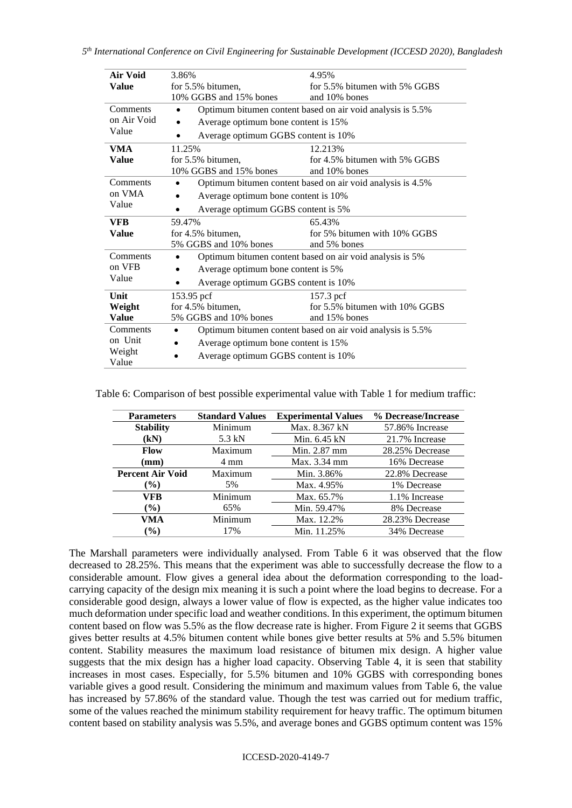| Air Void     | 3.86%                                                      | 4.95%                                                      |  |  |
|--------------|------------------------------------------------------------|------------------------------------------------------------|--|--|
| <b>Value</b> | for 5.5% bitumen,                                          | for 5.5% bitumen with 5% GGBS                              |  |  |
|              | 10% GGBS and 15% bones                                     | and 10% bones                                              |  |  |
| Comments     | $\bullet$                                                  | Optimum bitumen content based on air void analysis is 5.5% |  |  |
| on Air Void  | Average optimum bone content is 15%                        |                                                            |  |  |
| Value        | Average optimum GGBS content is 10%                        |                                                            |  |  |
| VMA          | 11.25%                                                     | 12.213%                                                    |  |  |
| <b>Value</b> | for 5.5% bitumen,                                          | for 4.5% bitumen with 5% GGBS                              |  |  |
|              | 10% GGBS and 15% bones                                     | and 10% bones                                              |  |  |
| Comments     |                                                            | Optimum bitumen content based on air void analysis is 4.5% |  |  |
| on VMA       | Average optimum bone content is 10%                        |                                                            |  |  |
| Value        | Average optimum GGBS content is 5%                         |                                                            |  |  |
| <b>VFB</b>   | 59.47%<br>65.43%                                           |                                                            |  |  |
| <b>Value</b> | for 4.5% bitumen,                                          | for 5% bitumen with 10% GGBS                               |  |  |
|              | 5% GGBS and 10% bones                                      | and 5% bones                                               |  |  |
| Comments     | Optimum bitumen content based on air void analysis is 5%   |                                                            |  |  |
| on VFB       | Average optimum bone content is 5%                         |                                                            |  |  |
| Value        | Average optimum GGBS content is 10%                        |                                                            |  |  |
| Unit         | 153.95 pcf                                                 | 157.3 pcf                                                  |  |  |
| Weight       | for 4.5% bitumen,                                          | for 5.5% bitumen with 10% GGBS                             |  |  |
| Value        | 5% GGBS and 10% bones                                      | and 15% bones                                              |  |  |
| Comments     | Optimum bitumen content based on air void analysis is 5.5% |                                                            |  |  |
| on Unit      | Average optimum bone content is 15%                        |                                                            |  |  |
| Weight       | Average optimum GGBS content is 10%                        |                                                            |  |  |
| Value        |                                                            |                                                            |  |  |

Table 6: Comparison of best possible experimental value with Table 1 for medium traffic:

| <b>Parameters</b>       | <b>Standard Values</b> | <b>Experimental Values</b> | % Decrease/Increase |
|-------------------------|------------------------|----------------------------|---------------------|
| <b>Stability</b>        | Minimum                | Max. 8.367 kN              | 57.86% Increase     |
| (kN)                    | 5.3 kN                 | Min. $6.45$ kN             | 21.7% Increase      |
| <b>Flow</b>             | Maximum                | Min. 2.87 mm               | 28.25% Decrease     |
| $(\mathbf{mm})$         | 4 mm                   | Max. 3.34 mm               | 16% Decrease        |
| <b>Percent Air Void</b> | Maximum                | Min. 3.86%                 | 22.8% Decrease      |
| $(\%)$                  | 5%                     | Max. 4.95%                 | 1% Decrease         |
| VFB                     | Minimum                | Max. 65.7%                 | 1.1% Increase       |
| $(\%)$                  | 65%                    | Min. 59.47%                | 8% Decrease         |
| VMA                     | Minimum                | Max. 12.2%                 | 28.23% Decrease     |
| $(\%)$                  | 17%                    | Min. 11.25%                | 34% Decrease        |

The Marshall parameters were individually analysed. From Table 6 it was observed that the flow decreased to 28.25%. This means that the experiment was able to successfully decrease the flow to a considerable amount. Flow gives a general idea about the deformation corresponding to the loadcarrying capacity of the design mix meaning it is such a point where the load begins to decrease. For a considerable good design, always a lower value of flow is expected, as the higher value indicates too much deformation under specific load and weather conditions. In this experiment, the optimum bitumen content based on flow was 5.5% as the flow decrease rate is higher. From Figure 2 it seems that GGBS gives better results at 4.5% bitumen content while bones give better results at 5% and 5.5% bitumen content. Stability measures the maximum load resistance of bitumen mix design. A higher value suggests that the mix design has a higher load capacity. Observing Table 4, it is seen that stability increases in most cases. Especially, for 5.5% bitumen and 10% GGBS with corresponding bones variable gives a good result. Considering the minimum and maximum values from Table 6, the value has increased by 57.86% of the standard value. Though the test was carried out for medium traffic, some of the values reached the minimum stability requirement for heavy traffic. The optimum bitumen content based on stability analysis was 5.5%, and average bones and GGBS optimum content was 15%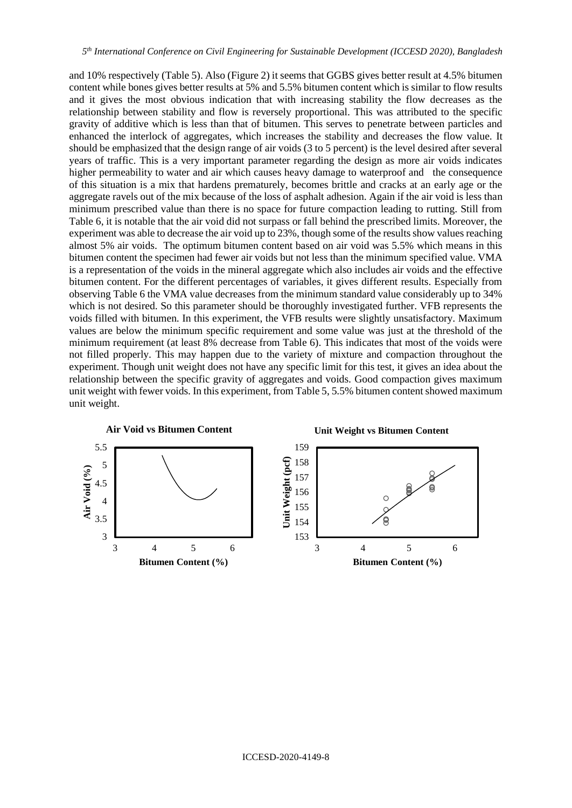and 10% respectively (Table 5). Also (Figure 2) it seems that GGBS gives better result at 4.5% bitumen content while bones gives better results at 5% and 5.5% bitumen content which is similar to flow results and it gives the most obvious indication that with increasing stability the flow decreases as the relationship between stability and flow is reversely proportional. This was attributed to the specific gravity of additive which is less than that of bitumen. This serves to penetrate between particles and enhanced the interlock of aggregates, which increases the stability and decreases the flow value. It should be emphasized that the design range of air voids (3 to 5 percent) is the level desired after several years of traffic. This is a very important parameter regarding the design as more air voids indicates higher permeability to water and air which causes heavy damage to waterproof and the consequence of this situation is a mix that hardens prematurely, becomes brittle and cracks at an early age or the aggregate ravels out of the mix because of the loss of asphalt adhesion. Again if the air void is less than minimum prescribed value than there is no space for future compaction leading to rutting. Still from Table 6, it is notable that the air void did not surpass or fall behind the prescribed limits. Moreover, the experiment was able to decrease the air void up to 23%, though some of the results show values reaching almost 5% air voids. The optimum bitumen content based on air void was 5.5% which means in this bitumen content the specimen had fewer air voids but not less than the minimum specified value. VMA is a representation of the voids in the mineral aggregate which also includes air voids and the effective bitumen content. For the different percentages of variables, it gives different results. Especially from observing Table 6 the VMA value decreases from the minimum standard value considerably up to 34% which is not desired. So this parameter should be thoroughly investigated further. VFB represents the voids filled with bitumen. In this experiment, the VFB results were slightly unsatisfactory. Maximum values are below the minimum specific requirement and some value was just at the threshold of the minimum requirement (at least 8% decrease from Table 6). This indicates that most of the voids were not filled properly. This may happen due to the variety of mixture and compaction throughout the experiment. Though unit weight does not have any specific limit for this test, it gives an idea about the relationship between the specific gravity of aggregates and voids. Good compaction gives maximum unit weight with fewer voids. In this experiment, from Table 5, 5.5% bitumen content showed maximum unit weight.

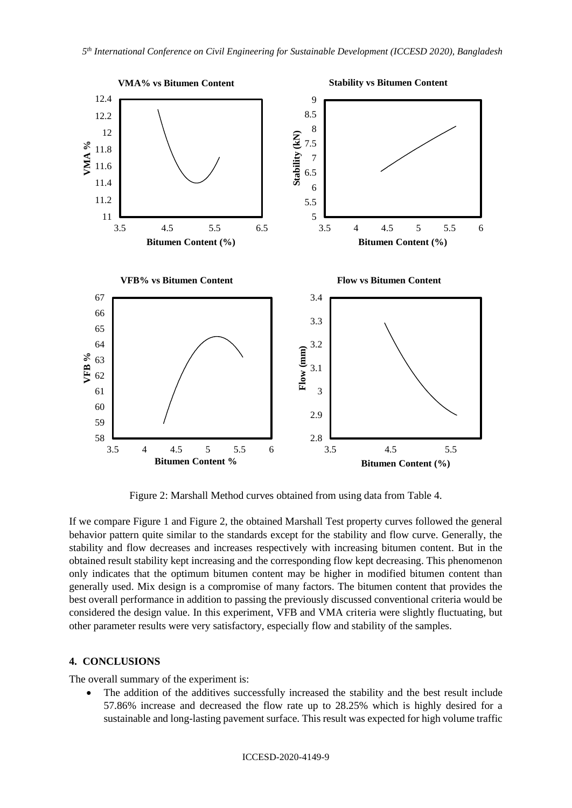

Figure 2: Marshall Method curves obtained from using data from Table 4.

If we compare Figure 1 and Figure 2, the obtained Marshall Test property curves followed the general behavior pattern quite similar to the standards except for the stability and flow curve. Generally, the stability and flow decreases and increases respectively with increasing bitumen content. But in the obtained result stability kept increasing and the corresponding flow kept decreasing. This phenomenon only indicates that the optimum bitumen content may be higher in modified bitumen content than generally used. Mix design is a compromise of many factors. The bitumen content that provides the best overall performance in addition to passing the previously discussed conventional criteria would be considered the design value. In this experiment, VFB and VMA criteria were slightly fluctuating, but other parameter results were very satisfactory, especially flow and stability of the samples.

#### **4. CONCLUSIONS**

The overall summary of the experiment is:

• The addition of the additives successfully increased the stability and the best result include 57.86% increase and decreased the flow rate up to 28.25% which is highly desired for a sustainable and long-lasting pavement surface. This result was expected for high volume traffic